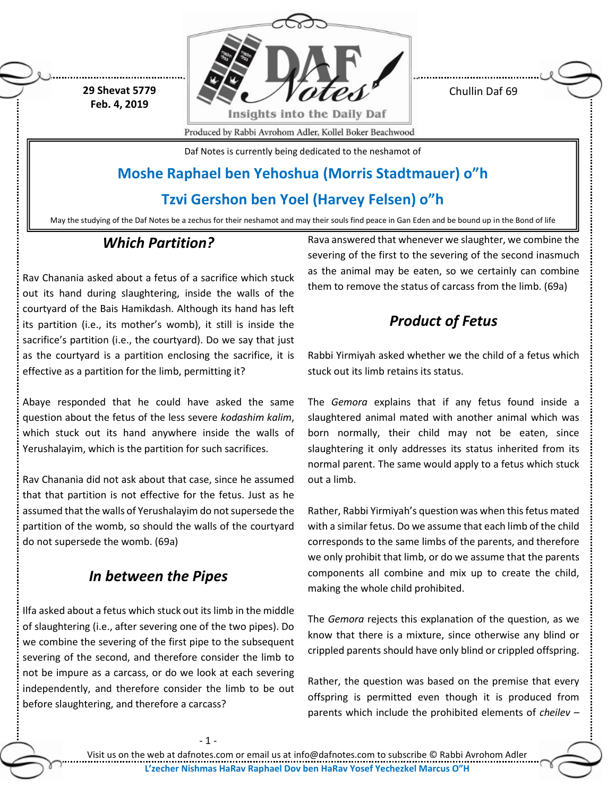**29 Shevat 5779 Feb. 4, 2019**



Chullin Daf 69

Produced by Rabbi Avrohom Adler, Kollel Boker Beachwood

Daf Notes is currently being dedicated to the neshamot of

# **Moshe Raphael ben Yehoshua (Morris Stadtmauer) o"h**

## **Tzvi Gershon ben Yoel (Harvey Felsen) o"h**

May the studying of the Daf Notes be a zechus for their neshamot and may their souls find peace in Gan Eden and be bound up in the Bond of life

## *Which Partition?*

Rav Chanania asked about a fetus of a sacrifice which stuck out its hand during slaughtering, inside the walls of the courtyard of the Bais Hamikdash. Although its hand has left its partition (i.e., its mother's womb), it still is inside the sacrifice's partition (i.e., the courtyard). Do we say that just as the courtyard is a partition enclosing the sacrifice, it is effective as a partition for the limb, permitting it?

Abaye responded that he could have asked the same question about the fetus of the less severe *kodashim kalim*, which stuck out its hand anywhere inside the walls of Yerushalayim, which is the partition for such sacrifices.

Rav Chanania did not ask about that case, since he assumed that that partition is not effective for the fetus. Just as he assumed that the walls of Yerushalayim do not supersede the partition of the womb, so should the walls of the courtyard do not supersede the womb. (69a)

## *In between the Pipes*

Ilfa asked about a fetus which stuck out its limb in the middle of slaughtering (i.e., after severing one of the two pipes). Do we combine the severing of the first pipe to the subsequent severing of the second, and therefore consider the limb to not be impure as a carcass, or do we look at each severing independently, and therefore consider the limb to be out before slaughtering, and therefore a carcass?

Rava answered that whenever we slaughter, we combine the severing of the first to the severing of the second inasmuch as the animal may be eaten, so we certainly can combine them to remove the status of carcass from the limb. (69a)

# *Product of Fetus*

Rabbi Yirmiyah asked whether we the child of a fetus which stuck out its limb retains its status.

The *Gemora* explains that if any fetus found inside a slaughtered animal mated with another animal which was born normally, their child may not be eaten, since slaughtering it only addresses its status inherited from its normal parent. The same would apply to a fetus which stuck out a limb.

Rather, Rabbi Yirmiyah's question was when this fetus mated with a similar fetus. Do we assume that each limb of the child corresponds to the same limbs of the parents, and therefore we only prohibit that limb, or do we assume that the parents components all combine and mix up to create the child, making the whole child prohibited.

The *Gemora* rejects this explanation of the question, as we know that there is a mixture, since otherwise any blind or crippled parents should have only blind or crippled offspring.

Rather, the question was based on the premise that every offspring is permitted even though it is produced from parents which include the prohibited elements of *cheilev –*

- 1 -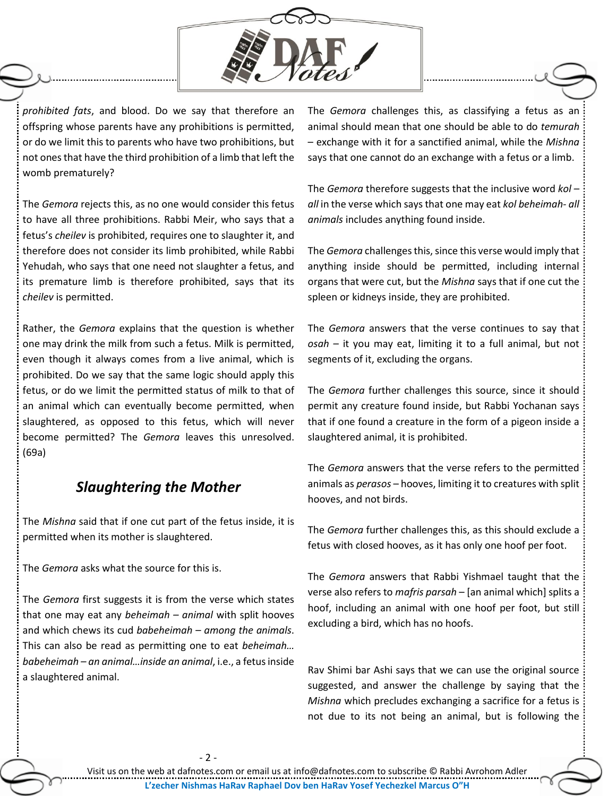

*prohibited fats*, and blood. Do we say that therefore an offspring whose parents have any prohibitions is permitted, or do we limit this to parents who have two prohibitions, but not ones that have the third prohibition of a limb that left the womb prematurely?

The *Gemora* rejects this, as no one would consider this fetus to have all three prohibitions. Rabbi Meir, who says that a fetus's *cheilev* is prohibited, requires one to slaughter it, and therefore does not consider its limb prohibited, while Rabbi Yehudah, who says that one need not slaughter a fetus, and its premature limb is therefore prohibited, says that its *cheilev* is permitted.

Rather, the *Gemora* explains that the question is whether one may drink the milk from such a fetus. Milk is permitted, even though it always comes from a live animal, which is prohibited. Do we say that the same logic should apply this fetus, or do we limit the permitted status of milk to that of an animal which can eventually become permitted, when slaughtered, as opposed to this fetus, which will never become permitted? The *Gemora* leaves this unresolved. (69a)

### *Slaughtering the Mother*

The *Mishna* said that if one cut part of the fetus inside, it is permitted when its mother is slaughtered.

The *Gemora* asks what the source for this is.

The *Gemora* first suggests it is from the verse which states that one may eat any *beheimah – animal* with split hooves and which chews its cud *babeheimah – among the animals*. This can also be read as permitting one to eat *beheimah… babeheimah – an animal…inside an animal*, i.e., a fetus inside a slaughtered animal.

The *Gemora* challenges this, as classifying a fetus as an animal should mean that one should be able to do *temurah* – exchange with it for a sanctified animal, while the *Mishna* says that one cannot do an exchange with a fetus or a limb.

The *Gemora* therefore suggests that the inclusive word *kol – all* in the verse which says that one may eat *kol beheimah- all animals* includes anything found inside.

The *Gemora* challenges this, since this verse would imply that anything inside should be permitted, including internal organs that were cut, but the *Mishna* says that if one cut the spleen or kidneys inside, they are prohibited.

The *Gemora* answers that the verse continues to say that *osah* – it you may eat, limiting it to a full animal, but not segments of it, excluding the organs.

The *Gemora* further challenges this source, since it should permit any creature found inside, but Rabbi Yochanan says that if one found a creature in the form of a pigeon inside a slaughtered animal, it is prohibited.

The *Gemora* answers that the verse refers to the permitted animals as *perasos* – hooves, limiting it to creatures with split hooves, and not birds.

The *Gemora* further challenges this, as this should exclude a fetus with closed hooves, as it has only one hoof per foot.

The *Gemora* answers that Rabbi Yishmael taught that the verse also refers to *mafris parsah* – [an animal which] splits a hoof, including an animal with one hoof per foot, but still excluding a bird, which has no hoofs.

Rav Shimi bar Ashi says that we can use the original source suggested, and answer the challenge by saying that the *Mishna* which precludes exchanging a sacrifice for a fetus is not due to its not being an animal, but is following the